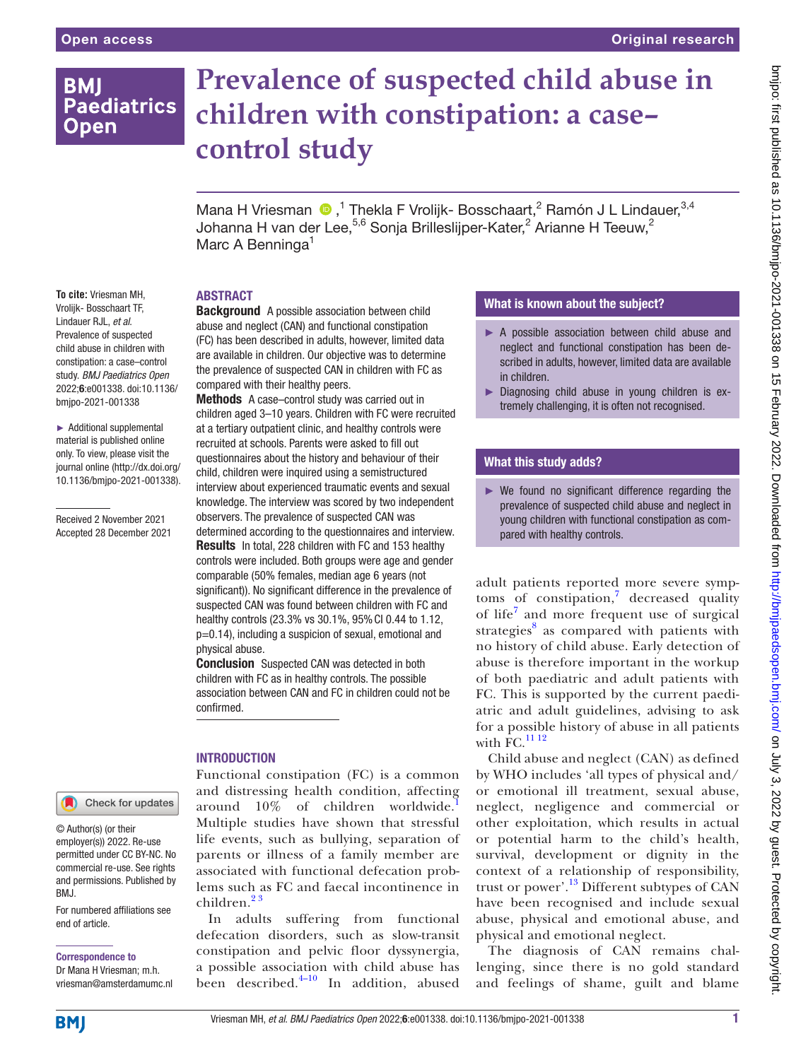# **BMI Paediatrics Open**

# **Prevalence of suspected child abuse in children with constipation: a case– control study**

Mana H Vriesman (D,<sup>1</sup> Thekla F Vrolijk- Bosschaart,<sup>2</sup> Ramón J L Lindauer,<sup>3,4</sup> Johanna H van der Lee, $^{5,6}$  Sonja Brilleslijper-Kater, $^2$  Arianne H Teeuw, $^2$ Marc A Benninga<sup>1</sup>

# **ABSTRACT**

**To cite:** Vriesman MH, Vrolijk- Bosschaart TF, Lindauer RJL, *et al*. Prevalence of suspected child abuse in children with constipation: a case–control study. *BMJ Paediatrics Open* 2022;6:e001338. doi:10.1136/ bmjpo-2021-001338

► Additional supplemental material is published online only. To view, please visit the journal online ([http://dx.doi.org/](http://dx.doi.org/10.1136/bmjpo-2021-001338) [10.1136/bmjpo-2021-001338\)](http://dx.doi.org/10.1136/bmjpo-2021-001338).

Received 2 November 2021 Accepted 28 December 2021

**Background** A possible association between child abuse and neglect (CAN) and functional constipation (FC) has been described in adults, however, limited data are available in children. Our objective was to determine the prevalence of suspected CAN in children with FC as compared with their healthy peers.

Methods A case–control study was carried out in children aged 3–10 years. Children with FC were recruited at a tertiary outpatient clinic, and healthy controls were recruited at schools. Parents were asked to fill out questionnaires about the history and behaviour of their child, children were inquired using a semistructured interview about experienced traumatic events and sexual knowledge. The interview was scored by two independent observers. The prevalence of suspected CAN was determined according to the questionnaires and interview.

Results In total, 228 children with FC and 153 healthy controls were included. Both groups were age and gender comparable (50% females, median age 6 years (not significant)). No significant difference in the prevalence of suspected CAN was found between children with FC and healthy controls (23.3% vs 30.1%, 95%CI 0.44 to 1.12, p=0.14), including a suspicion of sexual, emotional and physical abuse.

**Conclusion** Suspected CAN was detected in both children with FC as in healthy controls. The possible association between CAN and FC in children could not be confirmed.

# **INTRODUCTION**

Check for updates

© Author(s) (or their employer(s)) 2022. Re-use permitted under CC BY-NC. No commercial re-use. See rights and permissions. Published by BMJ.

For numbered affiliations see end of article.

#### Correspondence to

Dr Mana H Vriesman; m.h. vriesman@amsterdamumc.nl Functional constipation (FC) is a common and distressing health condition, affecting around 10% of children worldwide. Multiple studies have shown that stressful life events, such as bullying, separation of parents or illness of a family member are associated with functional defecation problems such as FC and faecal incontinence in children.[2 3](#page-7-0)

In adults suffering from functional defecation disorders, such as slow-transit constipation and pelvic floor dyssynergia, a possible association with child abuse has been described. $4-10$  In addition, abused

# What is known about the subject?

- ► A possible association between child abuse and neglect and functional constipation has been described in adults, however, limited data are available in children.
- ► Diagnosing child abuse in young children is extremely challenging, it is often not recognised.

# What this study adds?

 $\triangleright$  We found no significant difference regarding the prevalence of suspected child abuse and neglect in young children with functional constipation as compared with healthy controls.

adult patients reported more severe symp $toms$  of constipation,<sup>[7](#page-7-2)</sup> decreased quality of life<sup>[7](#page-7-2)</sup> and more frequent use of surgical strategies<sup>[8](#page-7-3)</sup> as compared with patients with no history of child abuse. Early detection of abuse is therefore important in the workup of both paediatric and adult patients with FC. This is supported by the current paediatric and adult guidelines, advising to ask for a possible history of abuse in all patients with FC.<sup>[11 12](#page-7-4)</sup>

Child abuse and neglect (CAN) as defined by WHO includes 'all types of physical and/ or emotional ill treatment, sexual abuse, neglect, negligence and commercial or other exploitation, which results in actual or potential harm to the child's health, survival, development or dignity in the context of a relationship of responsibility, trust or power'.[13](#page-7-5) Different subtypes of CAN have been recognised and include sexual abuse, physical and emotional abuse, and physical and emotional neglect.

The diagnosis of CAN remains challenging, since there is no gold standard and feelings of shame, guilt and blame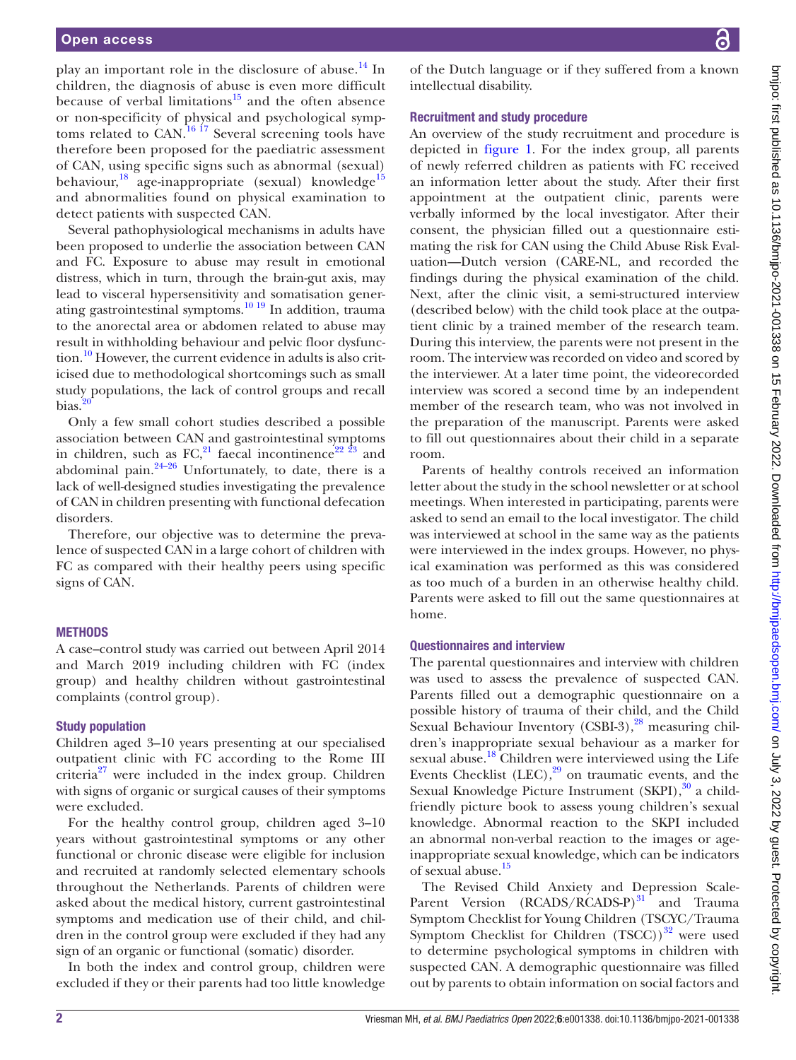play an important role in the disclosure of abuse.<sup>[14](#page-7-6)</sup> In children, the diagnosis of abuse is even more difficult because of verbal limitations<sup>[15](#page-7-7)</sup> and the often absence or non-specificity of physical and psychological symp-toms related to CAN.<sup>[16 17](#page-7-8)</sup> Several screening tools have therefore been proposed for the paediatric assessment of CAN, using specific signs such as abnormal (sexual) behaviour,<sup>[18](#page-7-9)</sup> age-inappropriate (sexual) knowledge<sup>[15](#page-7-7)</sup> and abnormalities found on physical examination to detect patients with suspected CAN.

Several pathophysiological mechanisms in adults have been proposed to underlie the association between CAN and FC. Exposure to abuse may result in emotional distress, which in turn, through the brain-gut axis, may lead to visceral hypersensitivity and somatisation generating gastrointestinal symptoms.[10 19](#page-7-10) In addition, trauma to the anorectal area or abdomen related to abuse may result in withholding behaviour and pelvic floor dysfunction. $10<sup>10</sup>$  However, the current evidence in adults is also criticised due to methodological shortcomings such as small study populations, the lack of control groups and recall bias.<sup>2</sup>

Only a few small cohort studies described a possible association between CAN and gastrointestinal symptoms in children, such as  $FC<sub>1</sub><sup>21</sup>$  faecal incontinence<sup>22 23</sup> and abdominal pain. $24-26$  Unfortunately, to date, there is a lack of well-designed studies investigating the prevalence of CAN in children presenting with functional defecation disorders.

Therefore, our objective was to determine the prevalence of suspected CAN in a large cohort of children with FC as compared with their healthy peers using specific signs of CAN.

#### **METHODS**

A case–control study was carried out between April 2014 and March 2019 including children with FC (index group) and healthy children without gastrointestinal complaints (control group).

#### Study population

Children aged 3–10 years presenting at our specialised outpatient clinic with FC according to the Rome III criteria<sup>[27](#page-7-15)</sup> were included in the index group. Children with signs of organic or surgical causes of their symptoms were excluded.

For the healthy control group, children aged 3–10 years without gastrointestinal symptoms or any other functional or chronic disease were eligible for inclusion and recruited at randomly selected elementary schools throughout the Netherlands. Parents of children were asked about the medical history, current gastrointestinal symptoms and medication use of their child, and children in the control group were excluded if they had any sign of an organic or functional (somatic) disorder.

In both the index and control group, children were excluded if they or their parents had too little knowledge

of the Dutch language or if they suffered from a known intellectual disability.

#### Recruitment and study procedure

An overview of the study recruitment and procedure is depicted in [figure](#page-2-0) 1. For the index group, all parents of newly referred children as patients with FC received an information letter about the study. After their first appointment at the outpatient clinic, parents were verbally informed by the local investigator. After their consent, the physician filled out a questionnaire estimating the risk for CAN using the Child Abuse Risk Evaluation—Dutch version (CARE-NL, and recorded the findings during the physical examination of the child. Next, after the clinic visit, a semi-structured interview (described below) with the child took place at the outpatient clinic by a trained member of the research team. During this interview, the parents were not present in the room. The interview was recorded on video and scored by the interviewer. At a later time point, the videorecorded interview was scored a second time by an independent member of the research team, who was not involved in the preparation of the manuscript. Parents were asked to fill out questionnaires about their child in a separate room.

Parents of healthy controls received an information letter about the study in the school newsletter or at school meetings. When interested in participating, parents were asked to send an email to the local investigator. The child was interviewed at school in the same way as the patients were interviewed in the index groups. However, no physical examination was performed as this was considered as too much of a burden in an otherwise healthy child. Parents were asked to fill out the same questionnaires at home.

#### Questionnaires and interview

The parental questionnaires and interview with children was used to assess the prevalence of suspected CAN. Parents filled out a demographic questionnaire on a possible history of trauma of their child, and the Child Sexual Behaviour Inventory  $(CSBI-3)$ , <sup>[28](#page-7-16)</sup> measuring children's inappropriate sexual behaviour as a marker for sexual abuse.<sup>[18](#page-7-9)</sup> Children were interviewed using the Life Events Checklist  $(LEC)$ ,  $^{29}$  $^{29}$  $^{29}$  on traumatic events, and the Sexual Knowledge Picture Instrument (SKPI),<sup>[30](#page-7-18)</sup> a childfriendly picture book to assess young children's sexual knowledge. Abnormal reaction to the SKPI included an abnormal non-verbal reaction to the images or ageinappropriate sexual knowledge, which can be indicators of sexual abuse.<sup>15</sup>

The Revised Child Anxiety and Depression Scale-Parent Version (RCADS/RCADS-P)<sup>31</sup> and Trauma Symptom Checklist for Young Children (TSCYC/Trauma Symptom Checklist for Children  $(TSCC)^{32}$  were used to determine psychological symptoms in children with suspected CAN. A demographic questionnaire was filled out by parents to obtain information on social factors and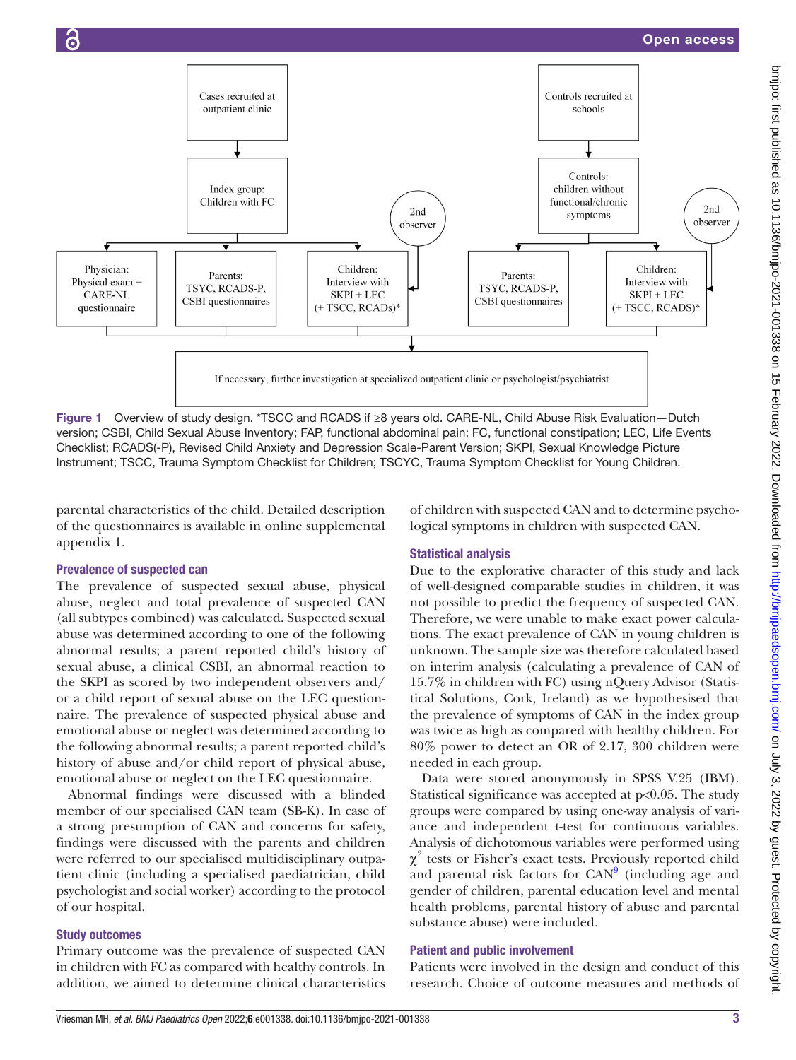

<span id="page-2-0"></span>Figure 1 Overview of study design. \*TSCC and RCADS if ≥8 years old. CARE-NL, Child Abuse Risk Evaluation—Dutch version; CSBI, Child Sexual Abuse Inventory; FAP, functional abdominal pain; FC, functional constipation; LEC, Life Events Checklist; RCADS(-P), Revised Child Anxiety and Depression Scale-Parent Version; SKPI, Sexual Knowledge Picture Instrument; TSCC, Trauma Symptom Checklist for Children; TSCYC, Trauma Symptom Checklist for Young Children.

parental characteristics of the child. Detailed description of the questionnaires is available in [online supplemental](https://dx.doi.org/10.1136/bmjpo-2021-001338) [appendix 1](https://dx.doi.org/10.1136/bmjpo-2021-001338).

### Prevalence of suspected can

The prevalence of suspected sexual abuse, physical abuse, neglect and total prevalence of suspected CAN (all subtypes combined) was calculated. Suspected sexual abuse was determined according to one of the following abnormal results; a parent reported child's history of sexual abuse, a clinical CSBI, an abnormal reaction to the SKPI as scored by two independent observers and/ or a child report of sexual abuse on the LEC questionnaire. The prevalence of suspected physical abuse and emotional abuse or neglect was determined according to the following abnormal results; a parent reported child's history of abuse and/or child report of physical abuse, emotional abuse or neglect on the LEC questionnaire.

Abnormal findings were discussed with a blinded member of our specialised CAN team (SB-K). In case of a strong presumption of CAN and concerns for safety, findings were discussed with the parents and children were referred to our specialised multidisciplinary outpatient clinic (including a specialised paediatrician, child psychologist and social worker) according to the protocol of our hospital.

#### Study outcomes

Primary outcome was the prevalence of suspected CAN in children with FC as compared with healthy controls. In addition, we aimed to determine clinical characteristics of children with suspected CAN and to determine psychological symptoms in children with suspected CAN.

#### Statistical analysis

Due to the explorative character of this study and lack of well-designed comparable studies in children, it was not possible to predict the frequency of suspected CAN. Therefore, we were unable to make exact power calculations. The exact prevalence of CAN in young children is unknown. The sample size was therefore calculated based on interim analysis (calculating a prevalence of CAN of 15.7% in children with FC) using nQuery Advisor (Statistical Solutions, Cork, Ireland) as we hypothesised that the prevalence of symptoms of CAN in the index group was twice as high as compared with healthy children. For 80% power to detect an OR of 2.17, 300 children were needed in each group.

Data were stored anonymously in SPSS V.25 (IBM). Statistical significance was accepted at p<0.05. The study groups were compared by using one-way analysis of variance and independent t-test for continuous variables. Analysis of dichotomous variables were performed using  $\chi^2$  tests or Fisher's exact tests. Previously reported child and parental risk factors for  $CAN<sup>9</sup>$  (including age and gender of children, parental education level and mental health problems, parental history of abuse and parental substance abuse) were included.

#### Patient and public involvement

Patients were involved in the design and conduct of this research. Choice of outcome measures and methods of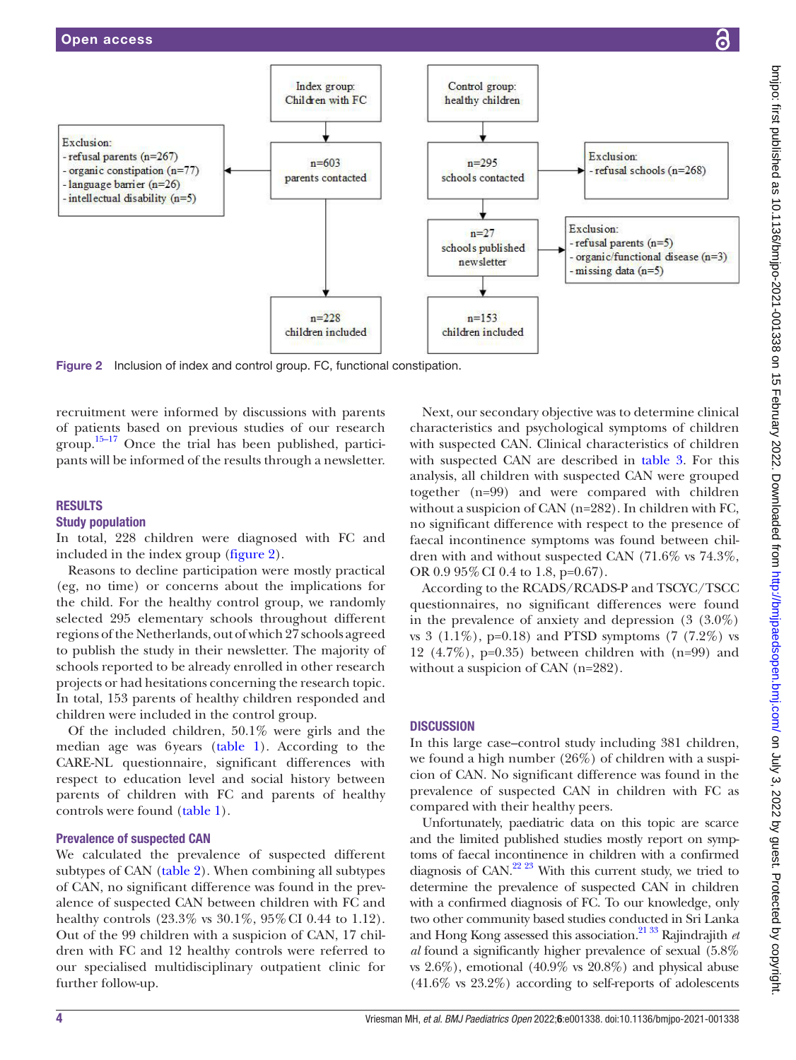

<span id="page-3-0"></span>Figure 2 Inclusion of index and control group. FC, functional constipation.

recruitment were informed by discussions with parents of patients based on previous studies of our research group.<sup>15-17</sup> Once the trial has been published, participants will be informed of the results through a newsletter.

#### RESULTS

#### Study population

In total, 228 children were diagnosed with FC and included in the index group [\(figure](#page-3-0) 2).

Reasons to decline participation were mostly practical (eg, no time) or concerns about the implications for the child. For the healthy control group, we randomly selected 295 elementary schools throughout different regions of the Netherlands, out of which 27 schools agreed to publish the study in their newsletter. The majority of schools reported to be already enrolled in other research projects or had hesitations concerning the research topic. In total, 153 parents of healthy children responded and children were included in the control group.

Of the included children, 50.1% were girls and the median age was 6years ([table](#page-4-0) 1). According to the CARE-NL questionnaire, significant differences with respect to education level and social history between parents of children with FC and parents of healthy controls were found [\(table](#page-4-0) 1).

#### Prevalence of suspected CAN

We calculated the prevalence of suspected different subtypes of CAN [\(table](#page-5-0) 2). When combining all subtypes of CAN, no significant difference was found in the prevalence of suspected CAN between children with FC and healthy controls (23.3% vs 30.1%, 95% CI 0.44 to 1.12). Out of the 99 children with a suspicion of CAN, 17 children with FC and 12 healthy controls were referred to our specialised multidisciplinary outpatient clinic for further follow-up.

Next, our secondary objective was to determine clinical characteristics and psychological symptoms of children with suspected CAN. Clinical characteristics of children with suspected CAN are described in [table](#page-6-0) 3. For this analysis, all children with suspected CAN were grouped together (n=99) and were compared with children without a suspicion of CAN (n=282). In children with FC, no significant difference with respect to the presence of faecal incontinence symptoms was found between children with and without suspected CAN (71.6% vs 74.3%, OR 0.9 95%CI 0.4 to 1.8, p=0.67).

According to the RCADS/RCADS-P and TSCYC/TSCC questionnaires, no significant differences were found in the prevalence of anxiety and depression (3 (3.0%) vs 3 (1.1%), p=0.18) and PTSD symptoms  $(7, 2\%)$  vs 12 (4.7%), p=0.35) between children with (n=99) and without a suspicion of CAN (n=282).

## **DISCUSSION**

In this large case–control study including 381 children, we found a high number (26%) of children with a suspicion of CAN. No significant difference was found in the prevalence of suspected CAN in children with FC as compared with their healthy peers.

Unfortunately, paediatric data on this topic are scarce and the limited published studies mostly report on symptoms of faecal incontinence in children with a confirmed diagnosis of CAN.<sup>[22 23](#page-7-13)</sup> With this current study, we tried to determine the prevalence of suspected CAN in children with a confirmed diagnosis of FC. To our knowledge, only two other community based studies conducted in Sri Lanka and Hong Kong assessed this association[.21 33](#page-7-12) Rajindrajith *et al* found a significantly higher prevalence of sexual (5.8% vs  $2.6\%$ ), emotional  $(40.9\% \text{ vs } 20.8\%)$  and physical abuse (41.6% vs 23.2%) according to self-reports of adolescents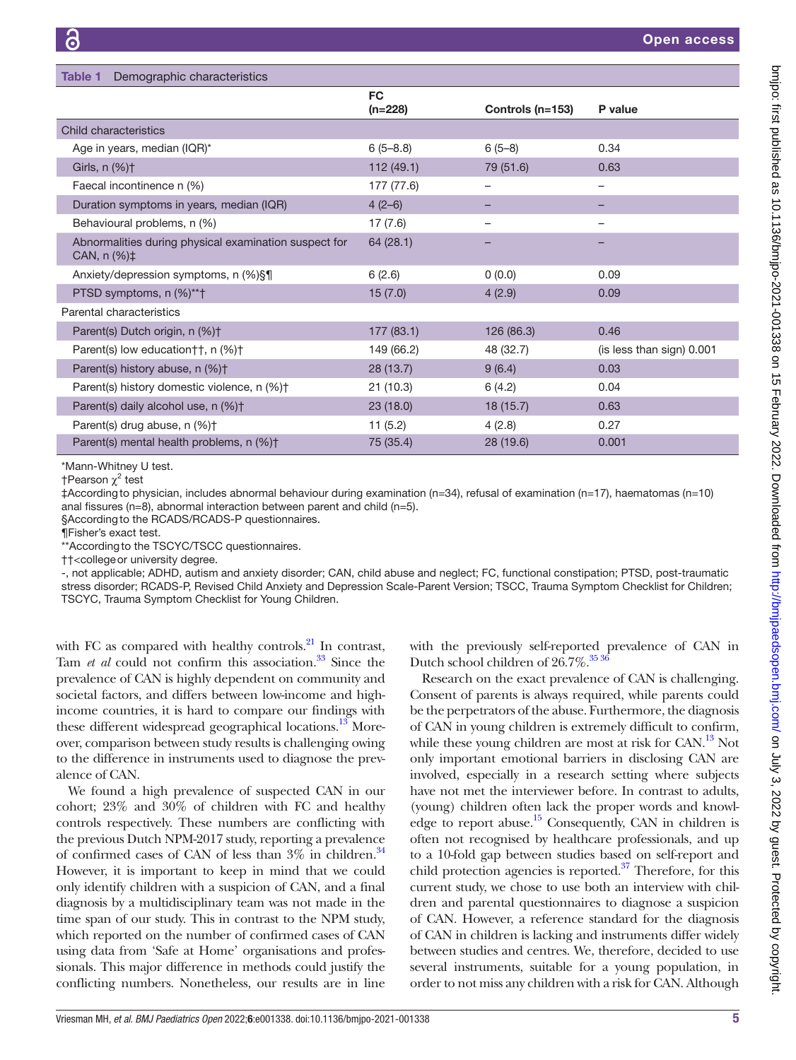<span id="page-4-0"></span>

| <b>Table 1</b><br>Demographic characteristics                                    |              |                  |                           |  |  |  |
|----------------------------------------------------------------------------------|--------------|------------------|---------------------------|--|--|--|
|                                                                                  | <b>FC</b>    |                  |                           |  |  |  |
|                                                                                  | $(n=228)$    | Controls (n=153) | P value                   |  |  |  |
| Child characteristics                                                            |              |                  |                           |  |  |  |
| Age in years, median (IQR)*                                                      | $6(5 - 8.8)$ | $6(5-8)$         | 0.34                      |  |  |  |
| Girls, $n$ $(\%)\dagger$                                                         | 112(49.1)    | 79 (51.6)        | 0.63                      |  |  |  |
| Faecal incontinence n (%)                                                        | 177 (77.6)   | —                | -                         |  |  |  |
| Duration symptoms in years, median (IQR)                                         | $4(2-6)$     |                  |                           |  |  |  |
| Behavioural problems, n (%)                                                      | 17(7.6)      |                  | —                         |  |  |  |
| Abnormalities during physical examination suspect for<br>CAN, $n$ (%) $\ddagger$ | 64 (28.1)    |                  |                           |  |  |  |
| Anxiety/depression symptoms, n (%)§1                                             | 6(2.6)       | 0(0.0)           | 0.09                      |  |  |  |
| PTSD symptoms, n (%)**†                                                          | 15(7.0)      | 4(2.9)           | 0.09                      |  |  |  |
| Parental characteristics                                                         |              |                  |                           |  |  |  |
| Parent(s) Dutch origin, n (%)+                                                   | 177(83.1)    | 126 (86.3)       | 0.46                      |  |  |  |
| Parent(s) low education † †, n (%) †                                             | 149 (66.2)   | 48 (32.7)        | (is less than sign) 0.001 |  |  |  |
| Parent(s) history abuse, n (%)+                                                  | 28(13.7)     | 9(6.4)           | 0.03                      |  |  |  |
| Parent(s) history domestic violence, n (%) <sup>+</sup>                          | 21(10.3)     | 6(4.2)           | 0.04                      |  |  |  |
| Parent(s) daily alcohol use, n (%) <sup>+</sup>                                  | 23(18.0)     | 18(15.7)         | 0.63                      |  |  |  |
| Parent(s) drug abuse, n (%) <sup>+</sup>                                         | 11(5.2)      | 4(2.8)           | 0.27                      |  |  |  |
| Parent(s) mental health problems, n (%)+                                         | 75 (35.4)    | 28 (19.6)        | 0.001                     |  |  |  |

\*Mann-Whitney U test.

†Pearson χ<sup>2</sup> test

‡Accordingto physician, includes abnormal behaviour during examination (n=34), refusal of examination (n=17), haematomas (n=10) anal fissures (n=8), abnormal interaction between parent and child (n=5).

§Accordingto the RCADS/RCADS-P questionnaires. ¶Fisher's exact test.

\*\* According to the TSCYC/TSCC questionnaires.

††<collegeor university degree.

-, not applicable; ADHD, autism and anxiety disorder; CAN, child abuse and neglect; FC, functional constipation; PTSD, post-traumatic stress disorder; RCADS-P, Revised Child Anxiety and Depression Scale-Parent Version; TSCC, Trauma Symptom Checklist for Children; TSCYC, Trauma Symptom Checklist for Young Children.

with FC as compared with healthy controls. $^{21}$  In contrast, Tam *et al* could not confirm this association.<sup>33</sup> Since the prevalence of CAN is highly dependent on community and societal factors, and differs between low-income and highincome countries, it is hard to compare our findings with these different widespread geographical locations.<sup>13</sup> Moreover, comparison between study results is challenging owing to the difference in instruments used to diagnose the prevalence of CAN.

We found a high prevalence of suspected CAN in our cohort; 23% and 30% of children with FC and healthy controls respectively. These numbers are conflicting with the previous Dutch NPM-2017 study, reporting a prevalence of confirmed cases of CAN of less than  $3\%$  in children.<sup>[34](#page-7-23)</sup> However, it is important to keep in mind that we could only identify children with a suspicion of CAN, and a final diagnosis by a multidisciplinary team was not made in the time span of our study. This in contrast to the NPM study, which reported on the number of confirmed cases of CAN using data from 'Safe at Home' organisations and professionals. This major difference in methods could justify the conflicting numbers. Nonetheless, our results are in line

with the previously self-reported prevalence of CAN in Dutch school children of  $26.7\%$ .<sup>35 36</sup>

Research on the exact prevalence of CAN is challenging. Consent of parents is always required, while parents could be the perpetrators of the abuse. Furthermore, the diagnosis of CAN in young children is extremely difficult to confirm, while these young children are most at risk for CAN.<sup>13</sup> Not only important emotional barriers in disclosing CAN are involved, especially in a research setting where subjects have not met the interviewer before. In contrast to adults, (young) children often lack the proper words and knowledge to report abuse.<sup>15</sup> Consequently, CAN in children is often not recognised by healthcare professionals, and up to a 10-fold gap between studies based on self-report and child protection agencies is reported. $37$  Therefore, for this current study, we chose to use both an interview with children and parental questionnaires to diagnose a suspicion of CAN. However, a reference standard for the diagnosis of CAN in children is lacking and instruments differ widely between studies and centres. We, therefore, decided to use several instruments, suitable for a young population, in order to not miss any children with a risk for CAN. Although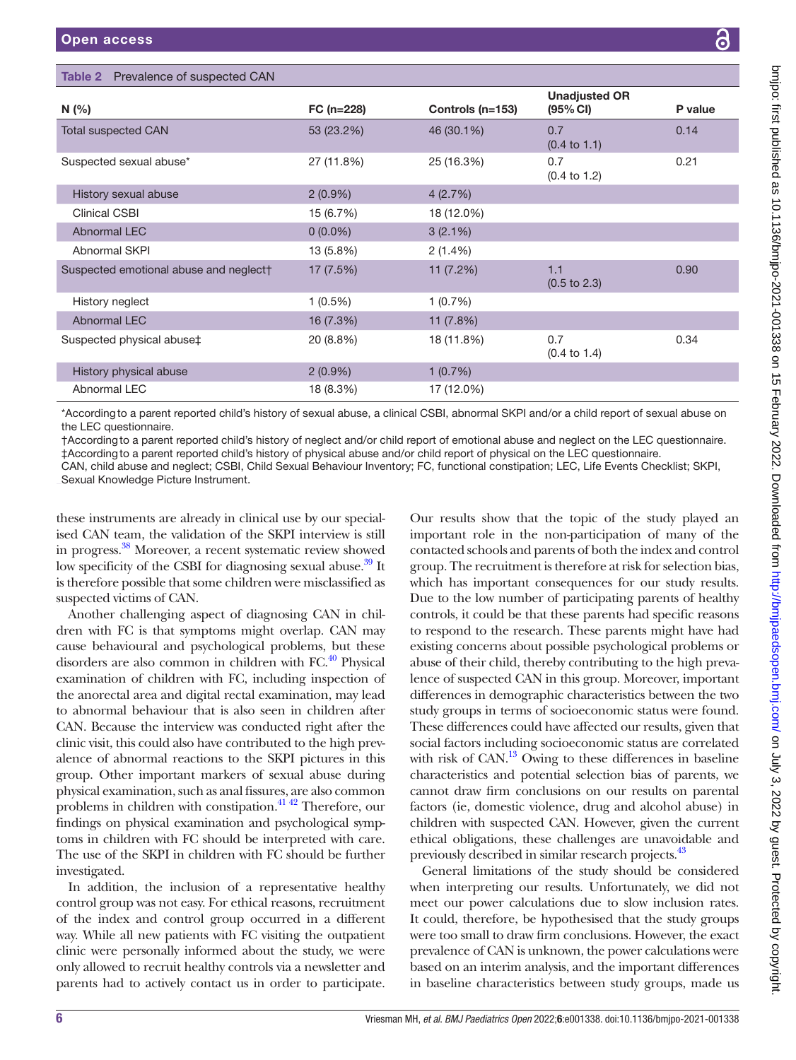<span id="page-5-0"></span>

| Open access                            |              |                  |                                  | <u>ය</u> |
|----------------------------------------|--------------|------------------|----------------------------------|----------|
| Prevalence of suspected CAN<br>Table 2 |              |                  |                                  |          |
| N(%)                                   | $FC (n=228)$ | Controls (n=153) | <b>Unadjusted OR</b><br>(95% CI) | P value  |
| <b>Total suspected CAN</b>             | 53 (23.2%)   | 46 (30.1%)       | 0.7<br>$(0.4 \text{ to } 1.1)$   | 0.14     |
| Suspected sexual abuse*                | 27 (11.8%)   | 25 (16.3%)       | 0.7<br>$(0.4 \text{ to } 1.2)$   | 0.21     |
| History sexual abuse                   | $2(0.9\%)$   | 4(2.7%)          |                                  |          |
| <b>Clinical CSBI</b>                   | 15 (6.7%)    | 18 (12.0%)       |                                  |          |
| Abnormal LEC                           | $0(0.0\%)$   | $3(2.1\%)$       |                                  |          |
| Abnormal SKPI                          | 13 (5.8%)    | $2(1.4\%)$       |                                  |          |
| Suspected emotional abuse and neglect† | 17(7.5%)     | 11(7.2%)         | 1.1<br>$(0.5 \text{ to } 2.3)$   | 0.90     |
| History neglect                        | $1(0.5\%)$   | 1(0.7%)          |                                  |          |
| Abnormal LEC                           | 16 (7.3%)    | 11(7.8%)         |                                  |          |
| Suspected physical abuse‡              | 20 (8.8%)    | 18 (11.8%)       | 0.7<br>$(0.4 \text{ to } 1.4)$   | 0.34     |
| History physical abuse                 | $2(0.9\%)$   | 1(0.7%)          |                                  |          |
| Abnormal LEC                           | 18 (8.3%)    | 17 (12.0%)       |                                  |          |

\*Accordingto a parent reported child's history of sexual abuse, a clinical CSBI, abnormal SKPI and/or a child report of sexual abuse on the LEC questionnaire.

†Accordingto a parent reported child's history of neglect and/or child report of emotional abuse and neglect on the LEC questionnaire. ‡Accordingto a parent reported child's history of physical abuse and/or child report of physical on the LEC questionnaire.

CAN, child abuse and neglect; CSBI, Child Sexual Behaviour Inventory; FC, functional constipation; LEC, Life Events Checklist; SKPI, Sexual Knowledge Picture Instrument.

these instruments are already in clinical use by our specialised CAN team, the validation of the SKPI interview is still in progress[.38](#page-7-26) Moreover, a recent systematic review showed low specificity of the CSBI for diagnosing sexual abuse.<sup>39</sup> It is therefore possible that some children were misclassified as suspected victims of CAN.

Another challenging aspect of diagnosing CAN in children with FC is that symptoms might overlap. CAN may cause behavioural and psychological problems, but these disorders are also common in children with  $FC<sup>40</sup>$  Physical examination of children with FC, including inspection of the anorectal area and digital rectal examination, may lead to abnormal behaviour that is also seen in children after CAN. Because the interview was conducted right after the clinic visit, this could also have contributed to the high prevalence of abnormal reactions to the SKPI pictures in this group. Other important markers of sexual abuse during physical examination, such as anal fissures, are also common problems in children with constipation. $^{41}$  42 Therefore, our findings on physical examination and psychological symptoms in children with FC should be interpreted with care. The use of the SKPI in children with FC should be further investigated.

In addition, the inclusion of a representative healthy control group was not easy. For ethical reasons, recruitment of the index and control group occurred in a different way. While all new patients with FC visiting the outpatient clinic were personally informed about the study, we were only allowed to recruit healthy controls via a newsletter and parents had to actively contact us in order to participate.

Our results show that the topic of the study played an important role in the non-participation of many of the contacted schools and parents of both the index and control group. The recruitment is therefore at risk for selection bias, which has important consequences for our study results. Due to the low number of participating parents of healthy controls, it could be that these parents had specific reasons to respond to the research. These parents might have had existing concerns about possible psychological problems or abuse of their child, thereby contributing to the high prevalence of suspected CAN in this group. Moreover, important differences in demographic characteristics between the two study groups in terms of socioeconomic status were found. These differences could have affected our results, given that social factors including socioeconomic status are correlated with risk of CAN. $^{13}$  Owing to these differences in baseline characteristics and potential selection bias of parents, we cannot draw firm conclusions on our results on parental factors (ie, domestic violence, drug and alcohol abuse) in children with suspected CAN. However, given the current ethical obligations, these challenges are unavoidable and previously described in similar research projects.<sup>43</sup>

General limitations of the study should be considered when interpreting our results. Unfortunately, we did not meet our power calculations due to slow inclusion rates. It could, therefore, be hypothesised that the study groups were too small to draw firm conclusions. However, the exact prevalence of CAN is unknown, the power calculations were based on an interim analysis, and the important differences in baseline characteristics between study groups, made us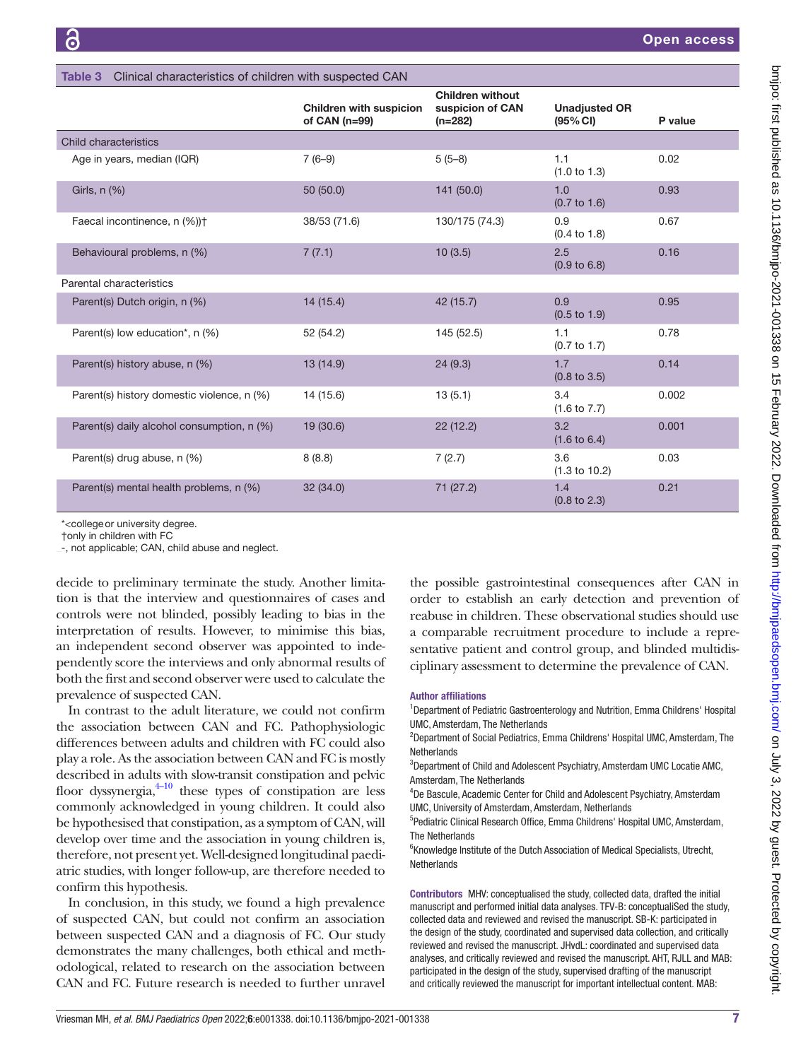<span id="page-6-0"></span>

| Clinical characteristics of children with suspected CAN<br>Table 3 |                                            |                                                          |                                  |         |  |  |  |  |
|--------------------------------------------------------------------|--------------------------------------------|----------------------------------------------------------|----------------------------------|---------|--|--|--|--|
|                                                                    | Children with suspicion<br>of CAN $(n=99)$ | <b>Children without</b><br>suspicion of CAN<br>$(n=282)$ | <b>Unadjusted OR</b><br>(95% CI) | P value |  |  |  |  |
| Child characteristics                                              |                                            |                                                          |                                  |         |  |  |  |  |
| Age in years, median (IQR)                                         | $7(6-9)$                                   | $5(5-8)$                                                 | 1.1<br>(1.0 to 1.3)              | 0.02    |  |  |  |  |
| Girls, n (%)                                                       | 50(50.0)                                   | 141 (50.0)                                               | 1.0<br>$(0.7 \text{ to } 1.6)$   | 0.93    |  |  |  |  |
| Faecal incontinence, n (%))+                                       | 38/53 (71.6)                               | 130/175 (74.3)                                           | 0.9<br>$(0.4 \text{ to } 1.8)$   | 0.67    |  |  |  |  |
| Behavioural problems, n (%)                                        | 7(7.1)                                     | 10(3.5)                                                  | 2.5<br>(0.9 to 6.8)              | 0.16    |  |  |  |  |
| Parental characteristics                                           |                                            |                                                          |                                  |         |  |  |  |  |
| Parent(s) Dutch origin, n (%)                                      | 14(15.4)                                   | 42 (15.7)                                                | 0.9<br>$(0.5 \text{ to } 1.9)$   | 0.95    |  |  |  |  |
| Parent(s) low education*, n (%)                                    | 52 (54.2)                                  | 145 (52.5)                                               | 1.1<br>$(0.7 \text{ to } 1.7)$   | 0.78    |  |  |  |  |
| Parent(s) history abuse, n (%)                                     | 13 (14.9)                                  | 24(9.3)                                                  | 1.7<br>$(0.8 \text{ to } 3.5)$   | 0.14    |  |  |  |  |
| Parent(s) history domestic violence, n (%)                         | 14 (15.6)                                  | 13(5.1)                                                  | 3.4<br>$(1.6 \text{ to } 7.7)$   | 0.002   |  |  |  |  |
| Parent(s) daily alcohol consumption, n (%)                         | 19 (30.6)                                  | 22(12.2)                                                 | 3.2<br>$(1.6 \text{ to } 6.4)$   | 0.001   |  |  |  |  |
| Parent(s) drug abuse, n (%)                                        | 8(8.8)                                     | 7(2.7)                                                   | 3.6<br>$(1.3 \text{ to } 10.2)$  | 0.03    |  |  |  |  |
| Parent(s) mental health problems, n (%)                            | 32 (34.0)                                  | 71 (27.2)                                                | 1.4<br>$(0.8 \text{ to } 2.3)$   | 0.21    |  |  |  |  |

\*<collegeor university degree.

†only in children with FC

-, not applicable; CAN, child abuse and neglect.

decide to preliminary terminate the study. Another limitation is that the interview and questionnaires of cases and controls were not blinded, possibly leading to bias in the interpretation of results. However, to minimise this bias, an independent second observer was appointed to independently score the interviews and only abnormal results of both the first and second observer were used to calculate the prevalence of suspected CAN.

In contrast to the adult literature, we could not confirm the association between CAN and FC. Pathophysiologic differences between adults and children with FC could also play a role. As the association between CAN and FC is mostly described in adults with slow-transit constipation and pelvic floor dyssynergia, $4^{-10}$  these types of constipation are less commonly acknowledged in young children. It could also be hypothesised that constipation, as a symptom of CAN, will develop over time and the association in young children is, therefore, not present yet. Well-designed longitudinal paediatric studies, with longer follow-up, are therefore needed to confirm this hypothesis.

In conclusion, in this study, we found a high prevalence of suspected CAN, but could not confirm an association between suspected CAN and a diagnosis of FC. Our study demonstrates the many challenges, both ethical and methodological, related to research on the association between CAN and FC. Future research is needed to further unravel

the possible gastrointestinal consequences after CAN in order to establish an early detection and prevention of reabuse in children. These observational studies should use a comparable recruitment procedure to include a representative patient and control group, and blinded multidisciplinary assessment to determine the prevalence of CAN.

#### Author affiliations

<sup>1</sup>Department of Pediatric Gastroenterology and Nutrition, Emma Childrens' Hospital UMC, Amsterdam, The Netherlands

<sup>2</sup>Department of Social Pediatrics, Emma Childrens' Hospital UMC, Amsterdam, The **Netherlands** 

<sup>3</sup>Department of Child and Adolescent Psychiatry, Amsterdam UMC Locatie AMC, Amsterdam, The Netherlands

4 De Bascule, Academic Center for Child and Adolescent Psychiatry, Amsterdam UMC, University of Amsterdam, Amsterdam, Netherlands

5 Pediatric Clinical Research Office, Emma Childrens' Hospital UMC, Amsterdam, The Netherlands

<sup>6</sup>Knowledge Institute of the Dutch Association of Medical Specialists, Utrecht, Netherlands

Contributors MHV: conceptualised the study, collected data, drafted the initial manuscript and performed initial data analyses. TFV-B: conceptualiSed the study, collected data and reviewed and revised the manuscript. SB-K: participated in the design of the study, coordinated and supervised data collection, and critically reviewed and revised the manuscript. JHvdL: coordinated and supervised data analyses, and critically reviewed and revised the manuscript. AHT, RJLL and MAB: participated in the design of the study, supervised drafting of the manuscript and critically reviewed the manuscript for important intellectual content. MAB: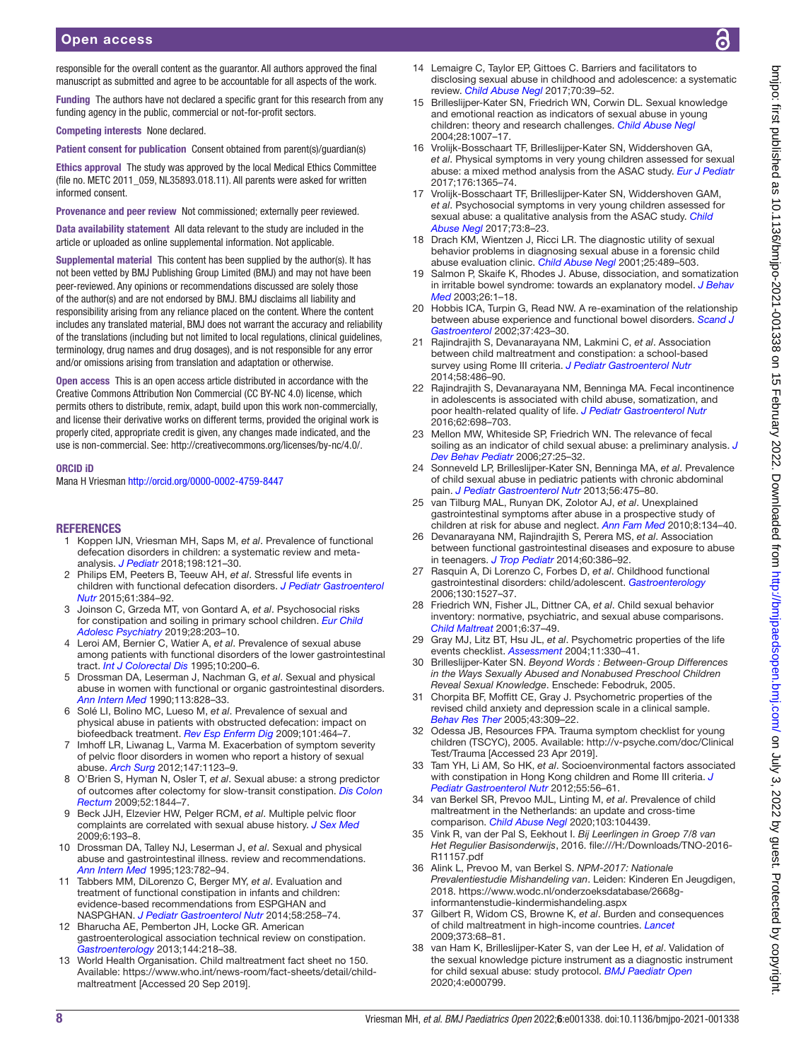responsible for the overall content as the guarantor. All authors approved the final manuscript as submitted and agree to be accountable for all aspects of the work.

Funding The authors have not declared a specific grant for this research from any funding agency in the public, commercial or not-for-profit sectors.

Competing interests None declared.

Patient consent for publication Consent obtained from parent(s)/quardian(s)

Ethics approval The study was approved by the local Medical Ethics Committee (file no. METC 2011\_059, NL35893.018.11). All parents were asked for written informed consent.

Provenance and peer review Not commissioned; externally peer reviewed.

Data availability statement All data relevant to the study are included in the article or uploaded as online supplemental information. Not applicable.

Supplemental material This content has been supplied by the author(s). It has not been vetted by BMJ Publishing Group Limited (BMJ) and may not have been peer-reviewed. Any opinions or recommendations discussed are solely those of the author(s) and are not endorsed by BMJ. BMJ disclaims all liability and responsibility arising from any reliance placed on the content. Where the content includes any translated material, BMJ does not warrant the accuracy and reliability of the translations (including but not limited to local regulations, clinical guidelines, terminology, drug names and drug dosages), and is not responsible for any error and/or omissions arising from translation and adaptation or otherwise.

Open access This is an open access article distributed in accordance with the Creative Commons Attribution Non Commercial (CC BY-NC 4.0) license, which permits others to distribute, remix, adapt, build upon this work non-commercially, and license their derivative works on different terms, provided the original work is properly cited, appropriate credit is given, any changes made indicated, and the use is non-commercial. See:<http://creativecommons.org/licenses/by-nc/4.0/>.

#### ORCID iD

Mana H Vriesman<http://orcid.org/0000-0002-4759-8447>

#### **REFERENCES**

- 1 Koppen IJN, Vriesman MH, Saps M, *et al*. Prevalence of functional defecation disorders in children: a systematic review and metaanalysis. *[J Pediatr](http://dx.doi.org/10.1016/j.jpeds.2018.02.029)* 2018;198:121–30.
- <span id="page-7-0"></span>2 Philips EM, Peeters B, Teeuw AH, *et al*. Stressful life events in children with functional defecation disorders. *[J Pediatr Gastroenterol](http://dx.doi.org/10.1097/MPG.0000000000000882)  [Nutr](http://dx.doi.org/10.1097/MPG.0000000000000882)* 2015;61:384–92.
- 3 Joinson C, Grzeda MT, von Gontard A, *et al*. Psychosocial risks for constipation and soiling in primary school children. *[Eur Child](http://dx.doi.org/10.1007/s00787-018-1162-8)  [Adolesc Psychiatry](http://dx.doi.org/10.1007/s00787-018-1162-8)* 2019;28:203–10.
- <span id="page-7-1"></span>4 Leroi AM, Bernier C, Watier A, *et al*. Prevalence of sexual abuse among patients with functional disorders of the lower gastrointestinal tract. *[Int J Colorectal Dis](http://dx.doi.org/10.1007/BF00346219)* 1995;10:200–6.
- 5 Drossman DA, Leserman J, Nachman G, *et al*. Sexual and physical abuse in women with functional or organic gastrointestinal disorders. *[Ann Intern Med](http://dx.doi.org/10.7326/0003-4819-113-11-828)* 1990;113:828–33.
- 6 Solé LI, Bolino MC, Lueso M, *et al*. Prevalence of sexual and physical abuse in patients with obstructed defecation: impact on biofeedback treatment. *[Rev Esp Enferm Dig](http://dx.doi.org/10.4321/S1130-01082009000700003)* 2009;101:464–7.
- <span id="page-7-2"></span>7 Imhoff LR, Liwanag L, Varma M. Exacerbation of symptom severity of pelvic floor disorders in women who report a history of sexual abuse. *[Arch Surg](http://dx.doi.org/10.1001/archsurg.2012.1144)* 2012;147:1123–9.
- <span id="page-7-3"></span>8 O'Brien S, Hyman N, Osler T, *et al*. Sexual abuse: a strong predictor of outcomes after colectomy for slow-transit constipation. *[Dis Colon](http://dx.doi.org/10.1007/DCR.0b013e3181b13408)  [Rectum](http://dx.doi.org/10.1007/DCR.0b013e3181b13408)* 2009;52:1844–7.
- <span id="page-7-21"></span>9 Beck JJH, Elzevier HW, Pelger RCM, *et al*. Multiple pelvic floor complaints are correlated with sexual abuse history. *[J Sex Med](http://dx.doi.org/10.1111/j.1743-6109.2008.01045.x)* 2009;6:193–8.
- <span id="page-7-10"></span>10 Drossman DA, Talley NJ, Leserman J, *et al*. Sexual and physical abuse and gastrointestinal illness. review and recommendations. *[Ann Intern Med](http://dx.doi.org/10.7326/0003-4819-123-10-199511150-00007)* 1995;123:782–94.
- <span id="page-7-4"></span>11 Tabbers MM, DiLorenzo C, Berger MY, *et al*. Evaluation and treatment of functional constipation in infants and children: evidence-based recommendations from ESPGHAN and NASPGHAN. *[J Pediatr Gastroenterol Nutr](http://dx.doi.org/10.1097/MPG.0000000000000266)* 2014;58:258–74.
- 12 Bharucha AE, Pemberton JH, Locke GR. American gastroenterological association technical review on constipation. *[Gastroenterology](http://dx.doi.org/10.1053/j.gastro.2012.10.028)* 2013;144:218–38.
- <span id="page-7-5"></span>13 World Health Organisation. Child maltreatment fact sheet no 150. Available: [https://www.who.int/news-room/fact-sheets/detail/child](https://www.who.int/news-room/fact-sheets/detail/child-maltreatment)[maltreatment](https://www.who.int/news-room/fact-sheets/detail/child-maltreatment) [Accessed 20 Sep 2019].
- <span id="page-7-6"></span>14 Lemaigre C, Taylor EP, Gittoes C. Barriers and facilitators to disclosing sexual abuse in childhood and adolescence: a systematic review. *[Child Abuse Negl](http://dx.doi.org/10.1016/j.chiabu.2017.05.009)* 2017;70:39–52.
- <span id="page-7-7"></span>15 Brilleslijper-Kater SN, Friedrich WN, Corwin DL. Sexual knowledge and emotional reaction as indicators of sexual abuse in young children: theory and research challenges. *[Child Abuse Negl](http://dx.doi.org/10.1016/j.chiabu.2004.06.005)* 2004;28:1007–17.
- <span id="page-7-8"></span>16 Vrolijk-Bosschaart TF, Brilleslijper-Kater SN, Widdershoven GA, *et al*. Physical symptoms in very young children assessed for sexual abuse: a mixed method analysis from the ASAC study. *[Eur J Pediatr](http://dx.doi.org/10.1007/s00431-017-2996-7)* 2017;176:1365–74.
- 17 Vrolijk-Bosschaart TF, Brilleslijper-Kater SN, Widdershoven GAM, *et al*. Psychosocial symptoms in very young children assessed for sexual abuse: a qualitative analysis from the ASAC study. *[Child](http://dx.doi.org/10.1016/j.chiabu.2017.09.001)  [Abuse Negl](http://dx.doi.org/10.1016/j.chiabu.2017.09.001)* 2017;73:8–23.
- <span id="page-7-9"></span>18 Drach KM, Wientzen J, Ricci LR. The diagnostic utility of sexual behavior problems in diagnosing sexual abuse in a forensic child abuse evaluation clinic. *[Child Abuse Negl](http://dx.doi.org/10.1016/S0145-2134(01)00222-8)* 2001;25:489–503.
- 19 Salmon P, Skaife K, Rhodes J. Abuse, dissociation, and somatization in irritable bowel syndrome: towards an explanatory model. *[J Behav](http://dx.doi.org/10.1023/A:1021718304633)  [Med](http://dx.doi.org/10.1023/A:1021718304633)* 2003;26:1–18.
- <span id="page-7-11"></span>20 Hobbis ICA, Turpin G, Read NW. A re-examination of the relationship between abuse experience and functional bowel disorders. *[Scand J](http://dx.doi.org/10.1080/003655202317316051)  [Gastroenterol](http://dx.doi.org/10.1080/003655202317316051)* 2002;37:423–30.
- <span id="page-7-12"></span>21 Rajindrajith S, Devanarayana NM, Lakmini C, *et al*. Association between child maltreatment and constipation: a school-based survey using Rome III criteria. *[J Pediatr Gastroenterol Nutr](http://dx.doi.org/10.1097/MPG.0000000000000249)* 2014;58:486–90.
- <span id="page-7-13"></span>22 Rajindrajith S, Devanarayana NM, Benninga MA. Fecal incontinence in adolescents is associated with child abuse, somatization, and poor health-related quality of life. *[J Pediatr Gastroenterol Nutr](http://dx.doi.org/10.1097/MPG.0000000000001006)* 2016;62:698–703.
- 23 Mellon MW, Whiteside SP, Friedrich WN. The relevance of fecal soiling as an indicator of child sexual abuse: a preliminary analysis. *[J](http://dx.doi.org/10.1097/00004703-200602000-00004)  [Dev Behav Pediatr](http://dx.doi.org/10.1097/00004703-200602000-00004)* 2006;27:25–32.
- <span id="page-7-14"></span>24 Sonneveld LP, Brilleslijper-Kater SN, Benninga MA, *et al*. Prevalence of child sexual abuse in pediatric patients with chronic abdominal pain. *[J Pediatr Gastroenterol Nutr](http://dx.doi.org/10.1097/MPG.0b013e31828b5145)* 2013;56:475–80.
- 25 van Tilburg MAL, Runyan DK, Zolotor AJ, *et al*. Unexplained gastrointestinal symptoms after abuse in a prospective study of children at risk for abuse and neglect. *[Ann Fam Med](http://dx.doi.org/10.1370/afm.1053)* 2010;8:134–40.
- 26 Devanarayana NM, Rajindrajith S, Perera MS, *et al*. Association between functional gastrointestinal diseases and exposure to abuse in teenagers. *[J Trop Pediatr](http://dx.doi.org/10.1093/tropej/fmu035)* 2014;60:386–92.
- <span id="page-7-15"></span>27 Rasquin A, Di Lorenzo C, Forbes D, *et al*. Childhood functional gastrointestinal disorders: child/adolescent. *[Gastroenterology](http://dx.doi.org/10.1053/j.gastro.2005.08.063)* 2006;130:1527–37.
- <span id="page-7-16"></span>28 Friedrich WN, Fisher JL, Dittner CA, *et al*. Child sexual behavior inventory: normative, psychiatric, and sexual abuse comparisons. *[Child Maltreat](http://dx.doi.org/10.1177/1077559501006001004)* 2001;6:37–49.
- <span id="page-7-17"></span>29 Gray MJ, Litz BT, Hsu JL, *et al*. Psychometric properties of the life events checklist. *[Assessment](http://dx.doi.org/10.1177/1073191104269954)* 2004;11:330–41.
- <span id="page-7-18"></span>30 Brilleslijper-Kater SN. *Beyond Words : Between-Group Differences in the Ways Sexually Abused and Nonabused Preschool Children Reveal Sexual Knowledge*. Enschede: Febodruk, 2005.
- <span id="page-7-19"></span>31 Chorpita BF, Moffitt CE, Gray J. Psychometric properties of the revised child anxiety and depression scale in a clinical sample. *[Behav Res Ther](http://dx.doi.org/10.1016/j.brat.2004.02.004)* 2005;43:309–22.
- <span id="page-7-20"></span>32 Odessa JB, Resources FPA. Trauma symptom checklist for young children (TSCYC), 2005. Available: [http://v-psyche.com/doc/Clinical](http://v-psyche.com/doc/Clinical%20Test/Trauma)  [Test/Trauma](http://v-psyche.com/doc/Clinical%20Test/Trauma) [Accessed 23 Apr 2019].
- <span id="page-7-22"></span>33 Tam YH, Li AM, So HK, *et al*. Socioenvironmental factors associated with constipation in Hong Kong children and Rome III criteria. *[J](http://dx.doi.org/10.1097/MPG.0b013e31824741ce)  [Pediatr Gastroenterol Nutr](http://dx.doi.org/10.1097/MPG.0b013e31824741ce)* 2012;55:56–61.
- <span id="page-7-23"></span>34 van Berkel SR, Prevoo MJL, Linting M, *et al*. Prevalence of child maltreatment in the Netherlands: an update and cross-time comparison. *[Child Abuse Negl](http://dx.doi.org/10.1016/j.chiabu.2020.104439)* 2020;103:104439.
- <span id="page-7-24"></span>35 Vink R, van der Pal S, Eekhout I. *Bij Leerlingen in Groep 7/8 van Het Regulier Basisonderwijs*, 2016. [file:///H:/Downloads/TNO-2016-](file:///H:/Downloads/TNO-2016-R11157.pdf) [R11157.pdf](file:///H:/Downloads/TNO-2016-R11157.pdf)
- 36 Alink L, Prevoo M, van Berkel S. *NPM-2017: Nationale Prevalentiestudie Mishandeling van*. Leiden: Kinderen En Jeugdigen, 2018. [https://www.wodc.nl/onderzoeksdatabase/2668g](https://www.wodc.nl/onderzoeksdatabase/2668g-informantenstudie-kindermishandeling.aspx)[informantenstudie-kindermishandeling.aspx](https://www.wodc.nl/onderzoeksdatabase/2668g-informantenstudie-kindermishandeling.aspx)
- <span id="page-7-25"></span>37 Gilbert R, Widom CS, Browne K, *et al*. Burden and consequences of child maltreatment in high-income countries. *[Lancet](http://dx.doi.org/10.1016/S0140-6736(08)61706-7)* 2009;373:68–81.
- <span id="page-7-26"></span>38 van Ham K, Brilleslijper-Kater S, van der Lee H, *et al*. Validation of the sexual knowledge picture instrument as a diagnostic instrument for child sexual abuse: study protocol. *[BMJ Paediatr Open](http://dx.doi.org/10.1136/bmjpo-2020-000799)* 2020;4:e000799.